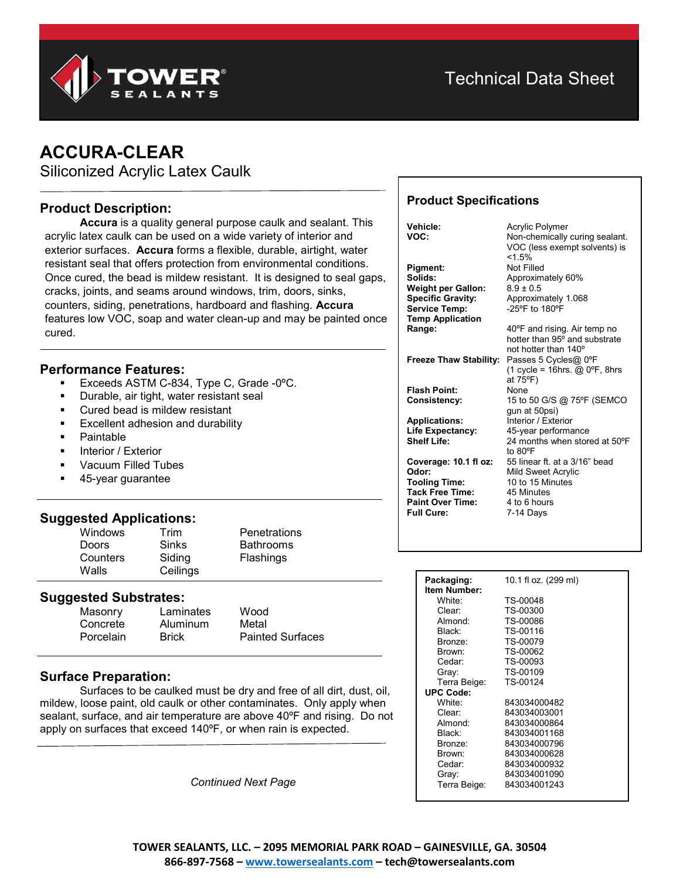

# **ACCURA-CLEAR**

Siliconized Acrylic Latex Caulk

# **Product Description:**

**Accura** is a quality general purpose caulk and sealant. This acrylic latex caulk can be used on a wide variety of interior and exterior surfaces. **Accura** forms a flexible, durable, airtight, water resistant seal that offers protection from environmental conditions. Once cured, the bead is mildew resistant. It is designed to seal gaps, cracks, joints, and seams around windows, trim, doors, sinks, counters, siding, penetrations, hardboard and flashing. **Accura** features low VOC, soap and water clean-up and may be painted once cured.

## **Performance Features:**

- Exceeds ASTM C-834, Type C, Grade -0ºC.
- Durable, air tight, water resistant seal
- Cured bead is mildew resistant
- Excellent adhesion and durability
- Paintable
- Interior / Exterior
- Vacuum Filled Tubes
- 45-year guarantee

## **Suggested Applications:**

| <b>Windows</b> | Trim         | <b>Penetrations</b> |
|----------------|--------------|---------------------|
| <b>Doors</b>   | <b>Sinks</b> | <b>Bathrooms</b>    |
| Counters       | Siding       | Flashings           |
| Walls          | Ceilings     |                     |

#### **Suggested Substrates:**

| Masonry   | Laminates    | Wood                    |
|-----------|--------------|-------------------------|
| Concrete  | Aluminum     | Metal                   |
| Porcelain | <b>Brick</b> | <b>Painted Surfaces</b> |

## **Surface Preparation:**

Surfaces to be caulked must be dry and free of all dirt, dust, oil, mildew, loose paint, old caulk or other contaminates. Only apply when sealant, surface, and air temperature are above 40ºF and rising. Do not apply on surfaces that exceed 140ºF, or when rain is expected.

*Continued Next Page*

# **Product Specifications**

**Pigment:** Not Filled<br> **Solids:** Approxima **Weight per Gallon:** 8.9 ± 0.5<br>**Specific Gravity:** Approxim **Service Temp: Temp Application**

**Freeze Thaw Stability:** Passes 5 Cycles@ 0ºF

**Flash Point:** None<br> **Consistency:** 15 to

**Applications:** Interior / Exterior<br> **Life Expectancy:** 45-year performa

**Tooling Time:** 10 to 15 Minutes **Tack Free Time:** 45 Minutes<br>**Paint Over Time:** 4 to 6 hours **Paint Over Time:**<br>Full Cure:

**Vehicle:** Acrylic Polymer<br> **VOC:** Non-chemically **VOC:** Non-chemically curing sealant. VOC (less exempt solvents) is <1.5% **Solids:** Approximately 60% Approximately 1.068<br>-25°F to 180°F

**Range:** 40ºF and rising. Air temp no hotter than 95º and substrate not hotter than 140º (1 cycle = 16hrs.  $@$  0 ${}^{\circ}$ F, 8hrs at 75ºF) **Consistency:** 15 to 50 G/S @ 75ºF (SEMCO gun at 50psi) **Life Expectancy:** 45-year performance<br> **Shelf Life:** 24 months when store 24 months when stored at 50°F to 80ºF **Coverage: 10.1 fl oz:** 55 linear ft. at a 3/16" bead<br>Odor: Mild Sweet Acrylic **Mild Sweet Acrylic<br>10 to 15 Minutes Full Cure:** 7-14 Days

| 10.1 fl oz. (299 ml) |
|----------------------|
| TS-00048             |
| TS-00300             |
| TS-00086             |
| TS-00116             |
| TS-00079             |
| TS-00062             |
| TS-00093             |
| TS-00109             |
| TS-00124             |
|                      |
| 843034000482         |
| 843034003001         |
| 843034000864         |
| 843034001168         |
| 843034000796         |
| 843034000628         |
| 843034000932         |
| 843034001090         |
| 843034001243         |
|                      |

**TOWER SEALANTS, LLC. – 2095 MEMORIAL PARK ROAD – GAINESVILLE, GA. 30504 866-897-7568 – [www.towersealants.com](http://www.towersealants.com/) – tech@towersealants.com**